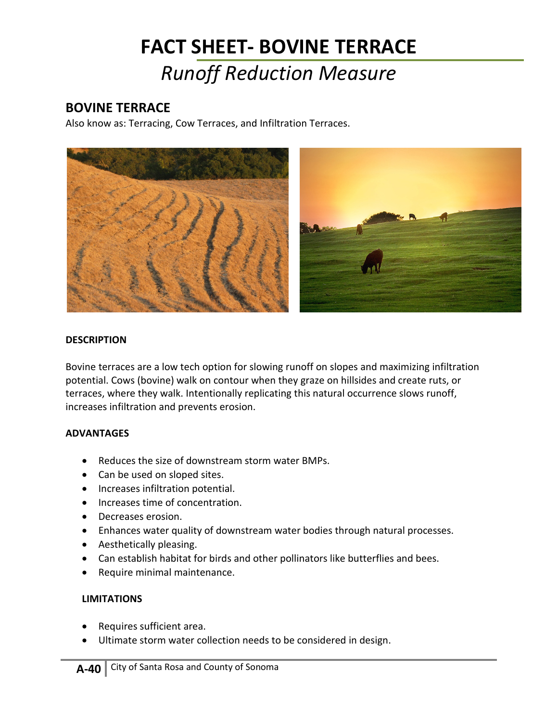# **FACT SHEET- BOVINE TERRACE** *Runoff Reduction Measure*

## **BOVINE TERRACE**

Also know as: Terracing, Cow Terraces, and Infiltration Terraces.



#### **DESCRIPTION**

Bovine terraces are a low tech option for slowing runoff on slopes and maximizing infiltration potential. Cows (bovine) walk on contour when they graze on hillsides and create ruts, or terraces, where they walk. Intentionally replicating this natural occurrence slows runoff, increases infiltration and prevents erosion.

### **ADVANTAGES**

- Reduces the size of downstream storm water BMPs.
- Can be used on sloped sites.
- Increases infiltration potential.
- Increases time of concentration.
- Decreases erosion.
- Enhances water quality of downstream water bodies through natural processes.
- Aesthetically pleasing.
- Can establish habitat for birds and other pollinators like butterflies and bees.
- Require minimal maintenance.

#### **LIMITATIONS**

- Requires sufficient area.
- Ultimate storm water collection needs to be considered in design.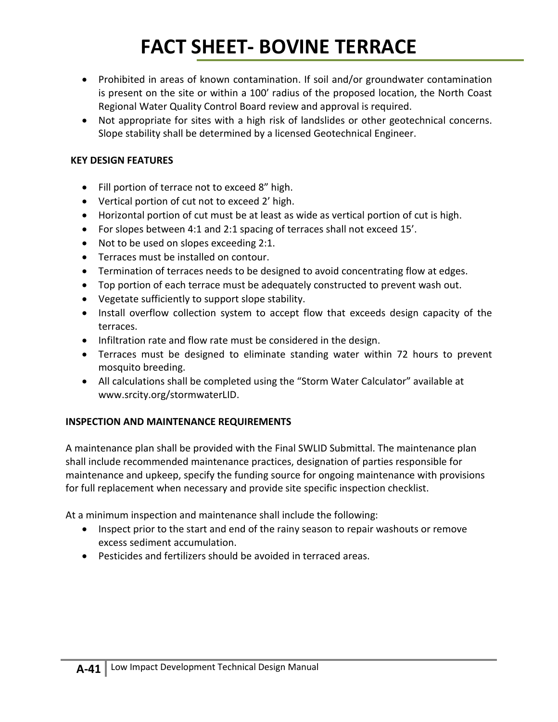# **FACT SHEET- BOVINE TERRACE**

- Prohibited in areas of known contamination. If soil and/or groundwater contamination is present on the site or within a 100' radius of the proposed location, the North Coast Regional Water Quality Control Board review and approval is required.
- Not appropriate for sites with a high risk of landslides or other geotechnical concerns. Slope stability shall be determined by a licensed Geotechnical Engineer.

### **KEY DESIGN FEATURES**

- Fill portion of terrace not to exceed 8" high.
- Vertical portion of cut not to exceed 2' high.
- Horizontal portion of cut must be at least as wide as vertical portion of cut is high.
- For slopes between 4:1 and 2:1 spacing of terraces shall not exceed 15'.
- Not to be used on slopes exceeding 2:1.
- Terraces must be installed on contour.
- Termination of terraces needs to be designed to avoid concentrating flow at edges.
- Top portion of each terrace must be adequately constructed to prevent wash out.
- Vegetate sufficiently to support slope stability.
- Install overflow collection system to accept flow that exceeds design capacity of the terraces.
- Infiltration rate and flow rate must be considered in the design.
- Terraces must be designed to eliminate standing water within 72 hours to prevent mosquito breeding.
- All calculations shall be completed using the "Storm Water Calculator" available at [www.srcity.org/stormwaterLID.](http://www.srcity.org/stormwaterLID)

### **INSPECTION AND MAINTENANCE REQUIREMENTS**

A maintenance plan shall be provided with the Final SWLID Submittal. The maintenance plan shall include recommended maintenance practices, designation of parties responsible for maintenance and upkeep, specify the funding source for ongoing maintenance with provisions for full replacement when necessary and provide site specific inspection checklist.

At a minimum inspection and maintenance shall include the following:

- Inspect prior to the start and end of the rainy season to repair washouts or remove excess sediment accumulation.
- Pesticides and fertilizers should be avoided in terraced areas.